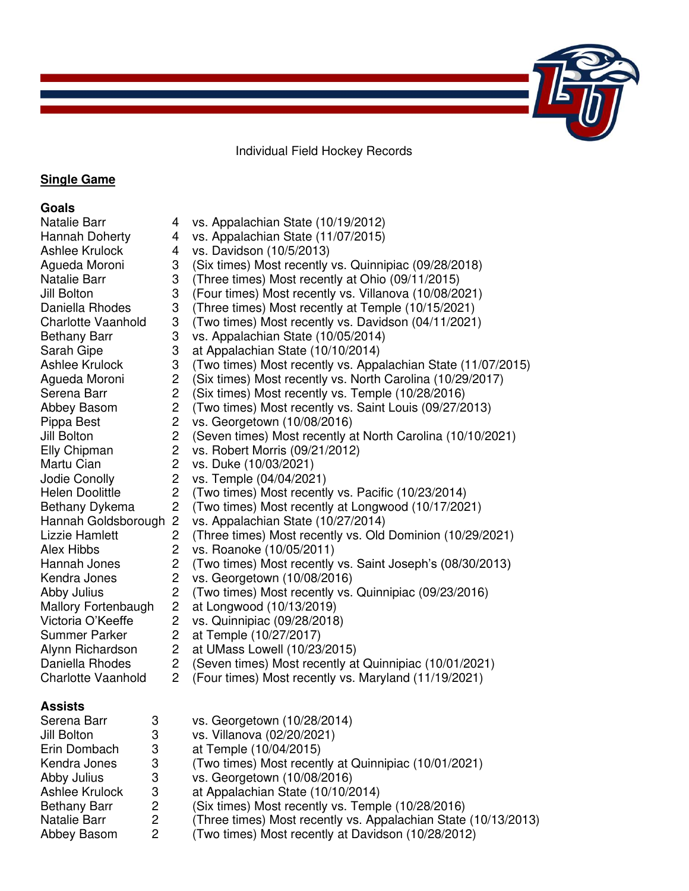Individual Field Hockey Records

### **Single Game**

#### **Goals**

## **Assists**

| vs. Georgetown (10/28/2014)                                    |
|----------------------------------------------------------------|
| vs. Villanova (02/20/2021)                                     |
| at Temple (10/04/2015)                                         |
| (Two times) Most recently at Quinnipiac (10/01/2021)           |
| vs. Georgetown (10/08/2016)                                    |
| at Appalachian State (10/10/2014)                              |
| (Six times) Most recently vs. Temple (10/28/2016)              |
| (Three times) Most recently vs. Appalachian State (10/13/2013) |
| (Two times) Most recently at Davidson (10/28/2012)             |
| 3<br>-3<br>2<br>$\overline{2}$                                 |

Natalie Barr 4 vs. Appalachian State (10/19/2012) Hannah Doherty 4 vs. Appalachian State (11/07/2015) Ashlee Krulock 4 vs. Davidson (10/5/2013) Agueda Moroni 3 (Six times) Most recently vs. Quinnipiac (09/28/2018) Natalie Barr 3 (Three times) Most recently at Ohio (09/11/2015) Jill Bolton 3 (Four times) Most recently vs. Villanova (10/08/2021) Daniella Rhodes 3 (Three times) Most recently at Temple (10/15/2021) Charlotte Vaanhold 3 (Two times) Most recently vs. Davidson (04/11/2021) Bethany Barr 3 vs. Appalachian State (10/05/2014) Sarah Gipe 3 at Appalachian State (10/10/2014) Ashlee Krulock 3 (Two times) Most recently vs. Appalachian State (11/07/2015) Agueda Moroni 2 (Six times) Most recently vs. North Carolina (10/29/2017) Serena Barr 2 (Six times) Most recently vs. Temple (10/28/2016) Abbey Basom 2 (Two times) Most recently vs. Saint Louis (09/27/2013)<br>Pippa Best 2 vs. Georgetown (10/08/2016) Pippa Best 2 vs. Georgetown (10/08/2016) Jill Bolton 2 (Seven times) Most recently at North Carolina (10/10/2021) Elly Chipman 2 vs. Robert Morris (09/21/2012) Martu Cian 2 vs. Duke (10/03/2021) Jodie Conolly 2 vs. Temple (04/04/2021) Helen Doolittle 2 (Two times) Most recently vs. Pacific (10/23/2014) Bethany Dykema 2 (Two times) Most recently at Longwood (10/17/2021) Hannah Goldsborough 2 vs. Appalachian State (10/27/2014) Lizzie Hamlett 2 (Three times) Most recently vs. Old Dominion (10/29/2021) Alex Hibbs 2 vs. Roanoke (10/05/2011)<br>
Hannah Jones 2 (Two times) Most recently Hannah Jones 2 (Two times) Most recently vs. Saint Joseph's (08/30/2013)<br>Kendra Jones 2 vs. Georgetown (10/08/2016) Kendra Jones 2 vs. Georgetown (10/08/2016) Abby Julius 2 (Two times) Most recently vs. Quinnipiac (09/23/2016) Mallory Fortenbaugh 2 at Longwood (10/13/2019) Victoria O'Keeffe 2 vs. Quinnipiac (09/28/2018)<br>Summer Parker 2 at Temple (10/27/2017) Summer Parker 2 at Temple (10/27/2017)<br>Alvnn Richardson 2 at UMass Lowell (10/23 Alynn Richardson 2 at UMass Lowell (10/23/2015) Daniella Rhodes 2 (Seven times) Most recently at Quinnipiac (10/01/2021) Charlotte Vaanhold 2 (Four times) Most recently vs. Maryland (11/19/2021)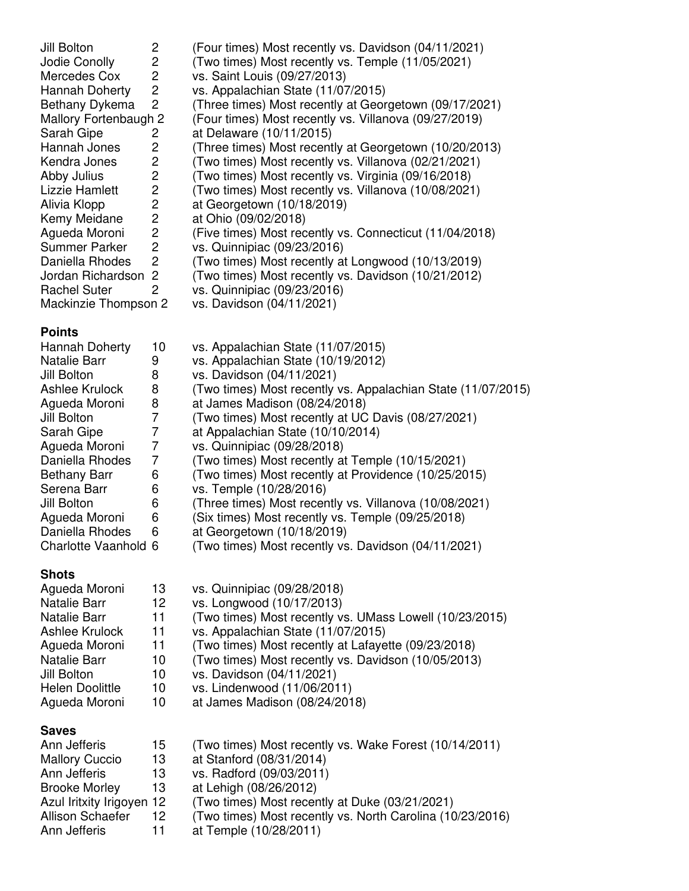| Jill Bolton           | 2              | (Four times) Most recently vs. Davidson (04/11/2021)    |
|-----------------------|----------------|---------------------------------------------------------|
| Jodie Conolly         | 2              | (Two times) Most recently vs. Temple (11/05/2021)       |
| Mercedes Cox          | 2              | vs. Saint Louis (09/27/2013)                            |
| Hannah Doherty        | $\overline{2}$ | vs. Appalachian State (11/07/2015)                      |
| Bethany Dykema        | 2              | (Three times) Most recently at Georgetown (09/17/2021)  |
| Mallory Fortenbaugh 2 |                | (Four times) Most recently vs. Villanova (09/27/2019)   |
| Sarah Gipe            | 2              | at Delaware (10/11/2015)                                |
| Hannah Jones          | $\mathbf{2}$   | (Three times) Most recently at Georgetown (10/20/2013)  |
| Kendra Jones          | $\mathbf{2}$   | (Two times) Most recently vs. Villanova (02/21/2021)    |
| Abby Julius           | $\overline{2}$ | (Two times) Most recently vs. Virginia (09/16/2018)     |
| Lizzie Hamlett        | $\overline{2}$ | (Two times) Most recently vs. Villanova (10/08/2021)    |
| Alivia Klopp          | $\overline{2}$ | at Georgetown (10/18/2019)                              |
| Kemy Meidane          | $\overline{2}$ | at Ohio (09/02/2018)                                    |
| Agueda Moroni         | $\overline{2}$ | (Five times) Most recently vs. Connecticut (11/04/2018) |
| Summer Parker         | $\overline{2}$ | vs. Quinnipiac (09/23/2016)                             |
| Daniella Rhodes       | 2              | (Two times) Most recently at Longwood (10/13/2019)      |
| Jordan Richardson 2   |                | (Two times) Most recently vs. Davidson (10/21/2012)     |
| <b>Rachel Suter</b>   | 2              | vs. Quinnipiac (09/23/2016)                             |
| Mackinzie Thompson 2  |                | vs. Davidson (04/11/2021)                               |
|                       |                |                                                         |

## **Points**

| 10 | vs. Appalachian State (11/07/2015)                           |
|----|--------------------------------------------------------------|
| 9  | vs. Appalachian State (10/19/2012)                           |
| 8  | vs. Davidson (04/11/2021)                                    |
| 8  | (Two times) Most recently vs. Appalachian State (11/07/2015) |
| 8  | at James Madison (08/24/2018)                                |
| 7  | (Two times) Most recently at UC Davis (08/27/2021)           |
|    | at Appalachian State (10/10/2014)                            |
| 7  | vs. Quinnipiac (09/28/2018)                                  |
| 7  | (Two times) Most recently at Temple (10/15/2021)             |
| 6  | (Two times) Most recently at Providence (10/25/2015)         |
| 6  | vs. Temple (10/28/2016)                                      |
| 6  | (Three times) Most recently vs. Villanova (10/08/2021)       |
| 6  | (Six times) Most recently vs. Temple (09/25/2018)            |
| 6  | at Georgetown (10/18/2019)                                   |
|    | (Two times) Most recently vs. Davidson (04/11/2021)          |
|    | Charlotte Vaanhold 6                                         |

## **Shots**

| Agueda Moroni          | 13 | vs. Quinnipiac (09/28/2018)                             |
|------------------------|----|---------------------------------------------------------|
| Natalie Barr           | 12 | vs. Longwood (10/17/2013)                               |
| Natalie Barr           | 11 | (Two times) Most recently vs. UMass Lowell (10/23/2015) |
| Ashlee Krulock         | 11 | vs. Appalachian State (11/07/2015)                      |
| Agueda Moroni          | 11 | (Two times) Most recently at Lafayette (09/23/2018)     |
| <b>Natalie Barr</b>    | 10 | (Two times) Most recently vs. Davidson (10/05/2013)     |
| Jill Bolton            | 10 | vs. Davidson (04/11/2021)                               |
| <b>Helen Doolittle</b> | 10 | vs. Lindenwood (11/06/2011)                             |
| Agueda Moroni          | 10 | at James Madison (08/24/2018)                           |
| <b>Saves</b>           |    |                                                         |
| Ann Jefferis           | 15 | (Two times) Most recently vs. Wake Forest (10/14/2011)  |
| Mallam, C. s.          | 10 | $\sim$ C <sub>tan</sub> taud (00/04/004 A)              |

| <b>Mallory Cuccio</b>     | 13 | at Stanford (08/31/2014)                                  |
|---------------------------|----|-----------------------------------------------------------|
| Ann Jefferis              | 13 | vs. Radford (09/03/2011)                                  |
| <b>Brooke Morley</b>      | 13 | at Lehigh (08/26/2012)                                    |
| Azul Iritxity Irigoyen 12 |    | (Two times) Most recently at Duke (03/21/2021)            |
| Allison Schaefer          | 12 | (Two times) Most recently vs. North Carolina (10/23/2016) |
| Ann Jefferis              |    | at Temple (10/28/2011)                                    |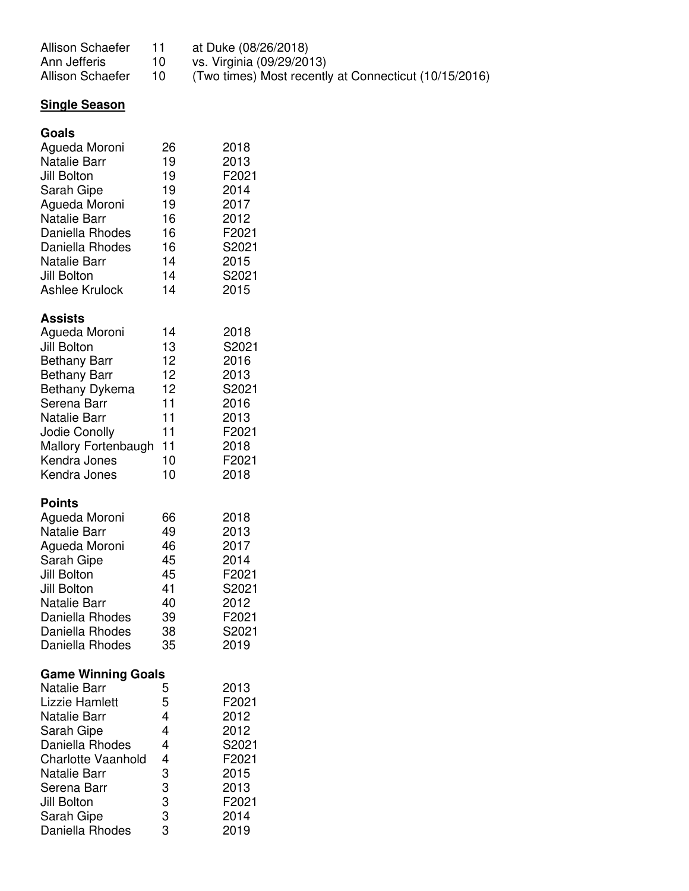| Allison Schaefer | at Duke (08/26/2018) |  |
|------------------|----------------------|--|
|                  |                      |  |

Ann Jefferis 10 vs. Virginia (09/29/2013)

Allison Schaefer 10 (Two times) Most recently at Connecticut (10/15/2016)

# **Single Season**

| Goals                     |          |       |
|---------------------------|----------|-------|
| Agueda Moroni             | 26       | 2018  |
| <b>Natalie Barr</b>       | 19       | 2013  |
| Jill Bolton               | 19       | F2021 |
| Sarah Gipe                | 19       | 2014  |
| Agueda Moroni             | 19       | 2017  |
| <b>Natalie Barr</b>       | 16       | 2012  |
| Daniella Rhodes           | 16       | F2021 |
| Daniella Rhodes           | 16       | S2021 |
| <b>Natalie Barr</b>       | 14       | 2015  |
| Jill Bolton               | 14       | S2021 |
| <b>Ashlee Krulock</b>     | 14       | 2015  |
| <b>Assists</b>            |          |       |
| Agueda Moroni             | 14       | 2018  |
| Jill Bolton               | 13       | S2021 |
| <b>Bethany Barr</b>       | 12       | 2016  |
| <b>Bethany Barr</b>       | 12       | 2013  |
| Bethany Dykema            | 12       | S2021 |
| Serena Barr               | 11       | 2016  |
| <b>Natalie Barr</b>       | 11       | 2013  |
| Jodie Conolly             | 11       | F2021 |
| Mallory Fortenbaugh       | 11       | 2018  |
| Kendra Jones              | 10       | F2021 |
| Kendra Jones              | 10       | 2018  |
| <b>Points</b>             |          |       |
| Agueda Moroni             | 66       | 2018  |
| <b>Natalie Barr</b>       | 49       | 2013  |
| Agueda Moroni             | 46       | 2017  |
| Sarah Gipe                | 45       | 2014  |
| Jill Bolton               | 45       | F2021 |
| Jill Bolton               | 41       | S2021 |
| <b>Natalie Barr</b>       | 40       | 2012  |
| Daniella Rhodes           | 39       | F2021 |
| Daniella Rhodes           | 38       | S2021 |
| Daniella Rhodes           | 35       | 2019  |
| <b>Game Winning Goals</b> |          |       |
| <b>Natalie Barr</b>       | 5        | 2013  |
| Lizzie Hamlett            | 5        | F2021 |
| <b>Natalie Barr</b>       | 4        | 2012  |
| Sarah Gipe                | 4        | 2012  |
| Daniella Rhodes           | 4        | S2021 |
| <b>Charlotte Vaanhold</b> |          | F2021 |
| Natalie Barr              |          | 2015  |
| Serena Barr               |          | 2013  |
| Jill Bolton               | 43333333 | F2021 |
| Sarah Gipe                |          | 2014  |
|                           |          |       |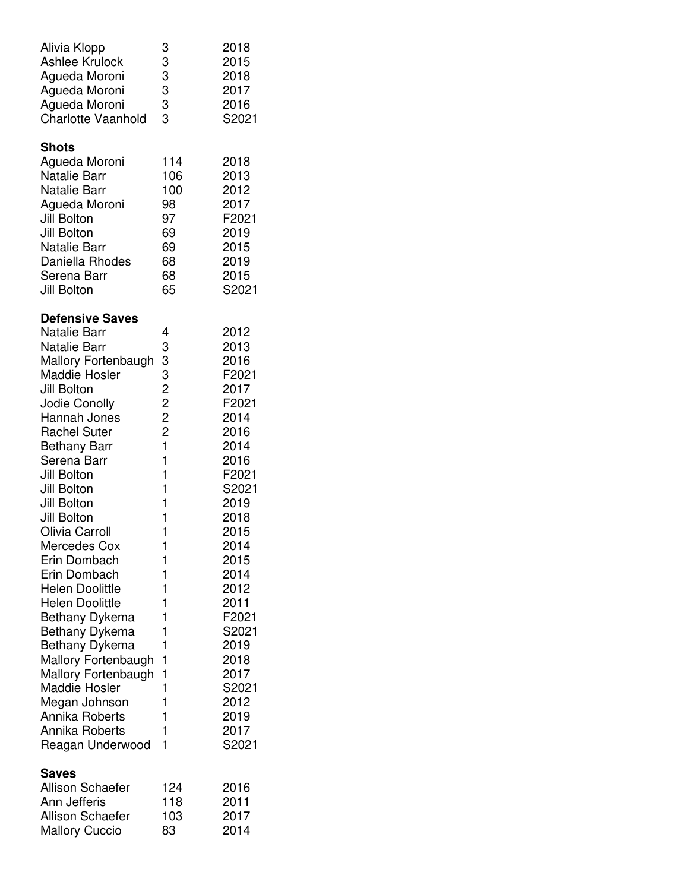| Alivia Klopp<br><b>Ashlee Krulock</b><br>Agueda Moroni<br>Agueda Moroni<br>Agueda Moroni<br><b>Charlotte Vaanhold</b>                                                                                                                                                                                                                                                                                                                                                                                                                                                                                                   | 3<br>3<br>3<br>3<br>3<br>3<br>3                                                                                                          | 2018<br>2015<br>2018<br>2017<br>2016<br>S2021                                                                                                                                                                                                        |
|-------------------------------------------------------------------------------------------------------------------------------------------------------------------------------------------------------------------------------------------------------------------------------------------------------------------------------------------------------------------------------------------------------------------------------------------------------------------------------------------------------------------------------------------------------------------------------------------------------------------------|------------------------------------------------------------------------------------------------------------------------------------------|------------------------------------------------------------------------------------------------------------------------------------------------------------------------------------------------------------------------------------------------------|
| <b>Shots</b><br>Agueda Moroni<br><b>Natalie Barr</b><br><b>Natalie Barr</b><br>Agueda Moroni<br>Jill Bolton<br>Jill Bolton<br><b>Natalie Barr</b><br>Daniella Rhodes<br>Serena Barr<br>Jill Bolton                                                                                                                                                                                                                                                                                                                                                                                                                      | 114<br>106<br>100<br>98<br>97<br>69<br>69<br>68<br>68<br>65                                                                              | 2018<br>2013<br>2012<br>2017<br>F2021<br>2019<br>2015<br>2019<br>2015<br>S2021                                                                                                                                                                       |
| <b>Defensive Saves</b><br><b>Natalie Barr</b><br><b>Natalie Barr</b><br>Mallory Fortenbaugh<br><b>Maddie Hosler</b><br>Jill Bolton<br>Jodie Conolly<br>Hannah Jones<br><b>Rachel Suter</b><br><b>Bethany Barr</b><br>Serena Barr<br>Jill Bolton<br>Jill Bolton<br>Jill Bolton<br>Jill Bolton<br>Olivia Carroll<br>Mercedes Cox<br>Erin Dombach<br>Erin Dombach<br><b>Helen Doolittle</b><br><b>Helen Doolittle</b><br>Bethany Dykema<br>Bethany Dykema<br>Bethany Dykema<br>Mallory Fortenbaugh<br>Mallory Fortenbaugh<br><b>Maddie Hosler</b><br>Megan Johnson<br>Annika Roberts<br>Annika Roberts<br>Reagan Underwood | 4<br>3<br>33222<br>$\mathbf{1}$<br>1<br>1<br>1<br>1<br>1<br>1<br>1<br>1<br>1<br>1<br>1<br>1<br>1<br>1<br>1<br>1<br>1<br>1<br>1<br>1<br>1 | 2012<br>2013<br>2016<br>F2021<br>2017<br>F2021<br>2014<br>2016<br>2014<br>2016<br>F2021<br>S2021<br>2019<br>2018<br>2015<br>2014<br>2015<br>2014<br>2012<br>2011<br>F2021<br>S2021<br>2019<br>2018<br>2017<br>S2021<br>2012<br>2019<br>2017<br>S2021 |
| Saves<br><b>Allison Schaefer</b><br>Ann Jefferis<br><b>Allison Schaefer</b><br><b>Mallory Cuccio</b>                                                                                                                                                                                                                                                                                                                                                                                                                                                                                                                    | 124<br>118<br>103<br>83                                                                                                                  | 2016<br>2011<br>2017<br>2014                                                                                                                                                                                                                         |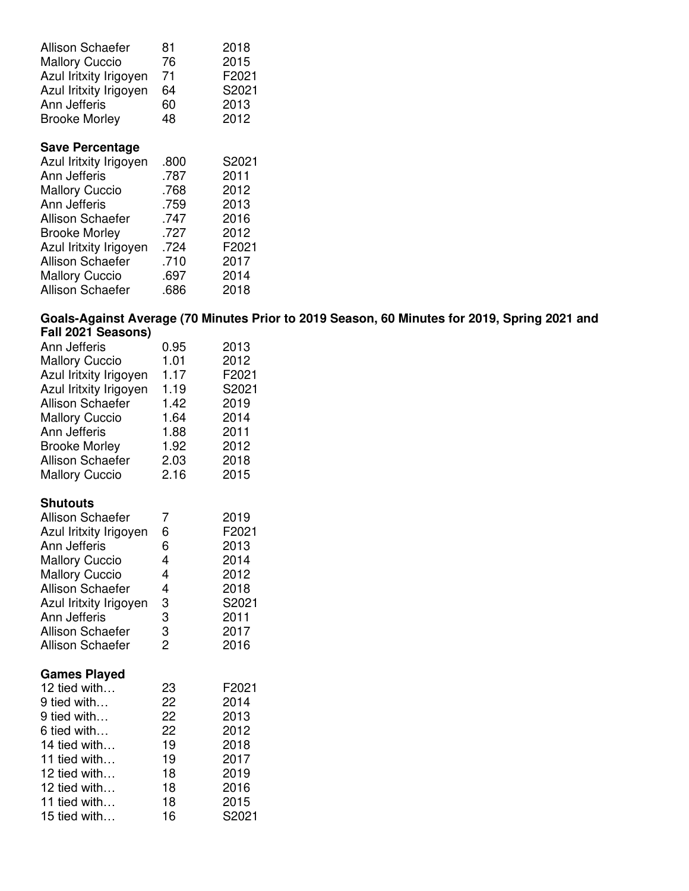| <b>Allison Schaefer</b> | 81 | 2018  |
|-------------------------|----|-------|
| <b>Mallory Cuccio</b>   | 76 | 2015  |
| Azul Iritxity Irigoyen  | 71 | F2021 |
| Azul Iritxity Irigoyen  | 64 | S2021 |
| Ann Jefferis            | 60 | 2013  |
| <b>Brooke Morley</b>    | 48 | 2012  |

## **Save Percentage**

| Azul Iritxity Irigoyen  | .800 | S2021 |
|-------------------------|------|-------|
| Ann Jefferis            | .787 | 2011  |
| <b>Mallory Cuccio</b>   | .768 | 2012  |
| Ann Jefferis            | .759 | 2013  |
| <b>Allison Schaefer</b> | .747 | 2016  |
| <b>Brooke Morley</b>    | .727 | 2012  |
| Azul Iritxity Irigoyen  | .724 | F2021 |
| Allison Schaefer        | .710 | 2017  |
| <b>Mallory Cuccio</b>   | .697 | 2014  |
| Allison Schaefer        | .686 | 2018  |
|                         |      |       |

### **Goals-Against Average (70 Minutes Prior to 2019 Season, 60 Minutes for 2019, Spring 2021 and Fall 2021 Seasons)**

| Ann Jefferis<br><b>Mallory Cuccio</b><br>Azul Iritxity Irigoyen<br>Azul Iritxity Irigoyen<br><b>Allison Schaefer</b><br><b>Mallory Cuccio</b><br>Ann Jefferis<br><b>Brooke Morley</b><br>Allison Schaefer<br><b>Mallory Cuccio</b>             | 0.95<br>1.01<br>1.17<br>1.19<br>1.42<br>1.64<br>1.88<br>1.92<br>2.03<br>2.16      | 2013<br>2012<br>F2021<br>S2021<br>2019<br>2014<br>2011<br>2012<br>2018<br>2015 |
|------------------------------------------------------------------------------------------------------------------------------------------------------------------------------------------------------------------------------------------------|-----------------------------------------------------------------------------------|--------------------------------------------------------------------------------|
| <b>Shutouts</b>                                                                                                                                                                                                                                |                                                                                   |                                                                                |
| <b>Allison Schaefer</b><br>Azul Iritxity Irigoyen<br>Ann Jefferis<br><b>Mallory Cuccio</b><br><b>Mallory Cuccio</b><br><b>Allison Schaefer</b><br>Azul Iritxity Irigoyen<br>Ann Jefferis<br><b>Allison Schaefer</b><br><b>Allison Schaefer</b> | 7<br>6<br>6<br>$\overline{\mathbf{4}}$<br>4<br>4<br>3<br>3<br>3<br>$\overline{2}$ | 2019<br>F2021<br>2013<br>2014<br>2012<br>2018<br>S2021<br>2011<br>2017<br>2016 |
| <b>Games Played</b><br>12 tied with<br>9 tied with<br>9 tied with<br>6 tied with<br>14 tied with<br>11 tied with<br>12 tied with<br>12 tied with<br>11 tied with<br>15 tied with                                                               | 23<br>22<br>22<br>22<br>19<br>19<br>18<br>18<br>18<br>16                          | F2021<br>2014<br>2013<br>2012<br>2018<br>2017<br>2019<br>2016<br>2015<br>S2021 |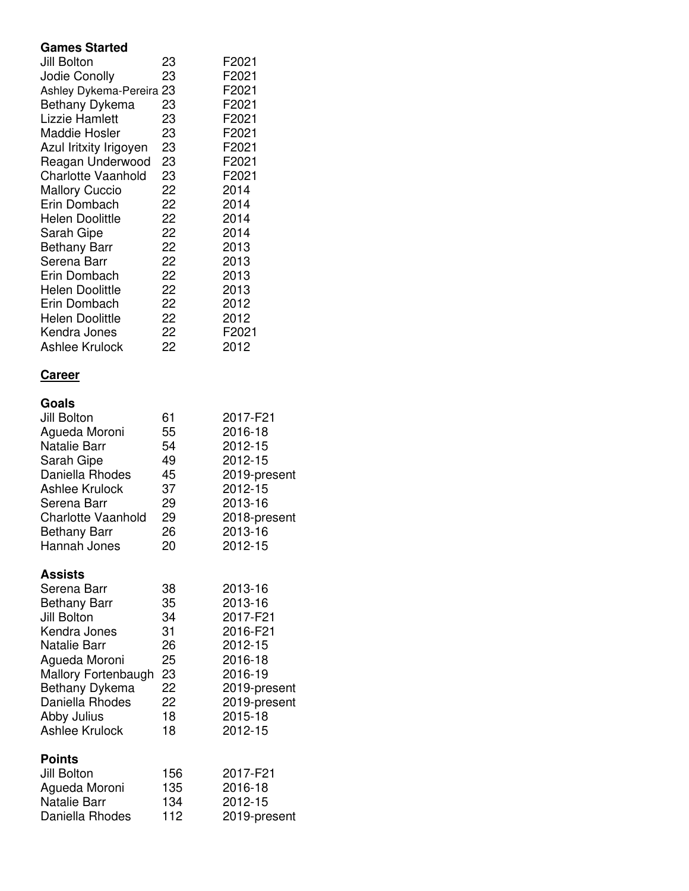### **Games Started**

| Jill Bolton               | 23 | F2021 |
|---------------------------|----|-------|
| Jodie Conolly             | 23 | F2021 |
| Ashley Dykema-Pereira 23  |    | F2021 |
| Bethany Dykema            | 23 | F2021 |
| Lizzie Hamlett            | 23 | F2021 |
| <b>Maddie Hosler</b>      | 23 | F2021 |
| Azul Iritxity Irigoyen    | 23 | F2021 |
| Reagan Underwood          | 23 | F2021 |
| <b>Charlotte Vaanhold</b> | 23 | F2021 |
| <b>Mallory Cuccio</b>     | 22 | 2014  |
| Erin Dombach              | 22 | 2014  |
| <b>Helen Doolittle</b>    | 22 | 2014  |
| Sarah Gipe                | 22 | 2014  |
| <b>Bethany Barr</b>       | 22 | 2013  |
| Serena Barr               | 22 | 2013  |
| Erin Dombach              | 22 | 2013  |
| <b>Helen Doolittle</b>    | 22 | 2013  |
| Erin Dombach              | 22 | 2012  |
| <b>Helen Doolittle</b>    | 22 | 2012  |
| Kendra Jones              | 22 | F2021 |
| Ashlee Krulock            | 22 | 2012  |
|                           |    |       |

## **Career**

| Goals<br>Jill Bolton<br>Agueda Moroni<br><b>Natalie Barr</b><br>Sarah Gipe<br>Daniella Rhodes<br><b>Ashlee Krulock</b><br>Serena Barr<br><b>Charlotte Vaanhold</b><br><b>Bethany Barr</b><br>Hannah Jones                | 61<br>55<br>54<br>49<br>45<br>37<br>29<br>29<br>26<br>20       | 2017-F21<br>2016-18<br>2012-15<br>2012-15<br>2019-present<br>2012-15<br>2013-16<br>2018-present<br>2013-16<br>2012-15             |
|--------------------------------------------------------------------------------------------------------------------------------------------------------------------------------------------------------------------------|----------------------------------------------------------------|-----------------------------------------------------------------------------------------------------------------------------------|
| <b>Assists</b><br>Serena Barr<br><b>Bethany Barr</b><br>Jill Bolton<br>Kendra Jones<br><b>Natalie Barr</b><br>Agueda Moroni<br>Mallory Fortenbaugh<br>Bethany Dykema<br>Daniella Rhodes<br>Abby Julius<br>Ashlee Krulock | 38<br>35<br>34<br>31<br>26<br>25<br>23<br>22<br>22<br>18<br>18 | 2013-16<br>2013-16<br>2017-F21<br>2016-F21<br>2012-15<br>2016-18<br>2016-19<br>2019-present<br>2019-present<br>2015-18<br>2012-15 |
| <b>Points</b><br>Jill Bolton<br>Agueda Moroni<br><b>Natalie Barr</b>                                                                                                                                                     | 156<br>135<br>134                                              | 2017-F21<br>2016-18<br>2012-15                                                                                                    |

Daniella Rhodes 112 2019-present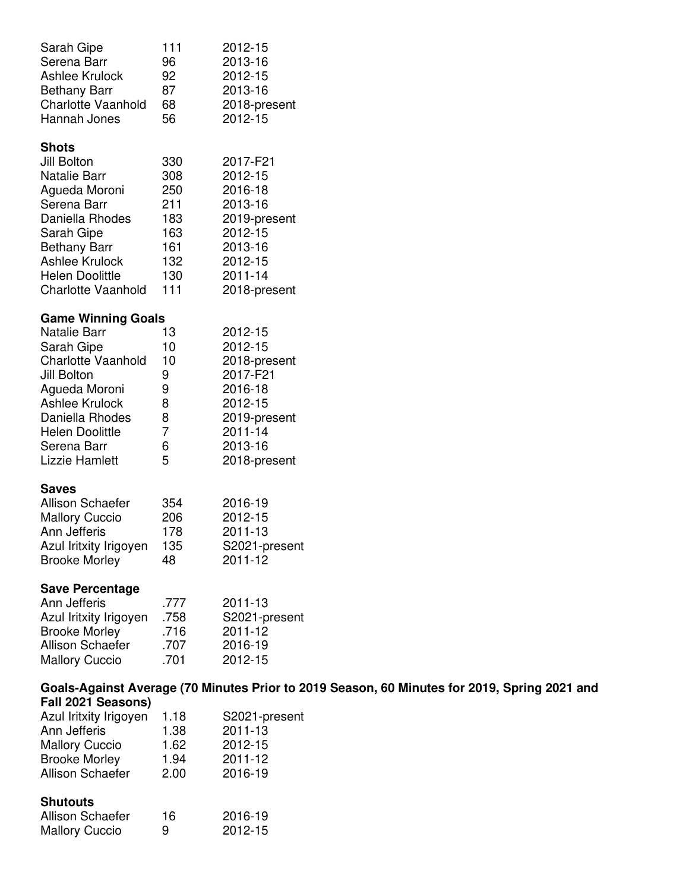| Sarah Gipe                | 111  | 2012-15                                                                                      |
|---------------------------|------|----------------------------------------------------------------------------------------------|
| Serena Barr               | 96   | 2013-16                                                                                      |
| <b>Ashlee Krulock</b>     | 92   | 2012-15                                                                                      |
| <b>Bethany Barr</b>       | 87   | 2013-16                                                                                      |
| <b>Charlotte Vaanhold</b> | 68   | 2018-present                                                                                 |
| Hannah Jones              | 56   | 2012-15                                                                                      |
| Shots                     |      |                                                                                              |
| Jill Bolton               | 330  | 2017-F21                                                                                     |
| Natalie Barr              | 308  | 2012-15                                                                                      |
| Agueda Moroni             | 250  | 2016-18                                                                                      |
| Serena Barr               | 211  | 2013-16                                                                                      |
| Daniella Rhodes           | 183  | 2019-present                                                                                 |
| Sarah Gipe                | 163  | 2012-15                                                                                      |
| <b>Bethany Barr</b>       | 161  | 2013-16                                                                                      |
| <b>Ashlee Krulock</b>     | 132  | 2012-15                                                                                      |
| Helen Doolittle           | 130  | 2011-14                                                                                      |
| <b>Charlotte Vaanhold</b> | 111  | 2018-present                                                                                 |
| <b>Game Winning Goals</b> |      |                                                                                              |
| Natalie Barr              | 13   | 2012-15                                                                                      |
| Sarah Gipe                | 10   | 2012-15                                                                                      |
| <b>Charlotte Vaanhold</b> | 10   | 2018-present                                                                                 |
| Jill Bolton               | 9    | 2017-F21                                                                                     |
| Agueda Moroni             | 9    | 2016-18                                                                                      |
| Ashlee Krulock            | 8    | 2012-15                                                                                      |
| Daniella Rhodes           | 8    | 2019-present                                                                                 |
| <b>Helen Doolittle</b>    | 7    | 2011-14                                                                                      |
| Serena Barr               | 6    | 2013-16                                                                                      |
| Lizzie Hamlett            | 5    | 2018-present                                                                                 |
| <b>Saves</b>              |      |                                                                                              |
| <b>Allison Schaefer</b>   | 354  | 2016-19                                                                                      |
| <b>Mallory Cuccio</b>     | 206  | 2012-15                                                                                      |
| Ann Jefferis              | 178  | 2011-13                                                                                      |
| Azul Iritxity Irigoyen    | 135  | S2021-present                                                                                |
| <b>Brooke Morley</b>      | 48   | 2011-12                                                                                      |
| <b>Save Percentage</b>    |      |                                                                                              |
| Ann Jefferis              | .777 | 2011-13                                                                                      |
| Azul Iritxity Irigoyen    | .758 | S2021-present                                                                                |
| <b>Brooke Morley</b>      | .716 | 2011-12                                                                                      |
| Allison Schaefer          | .707 | 2016-19                                                                                      |
| <b>Mallory Cuccio</b>     | .701 | 2012-15                                                                                      |
|                           |      | Goals-Against Average (70 Minutes Prior to 2019 Season, 60 Minutes for 2019, Spring 2021 and |
| Fall 2021 Seasons)        |      |                                                                                              |
| Azul Iritxity Irigoyen    | 1.18 | S2021-present                                                                                |
| Ann Jefferis              | 1.38 | 2011-13                                                                                      |
|                           |      |                                                                                              |

| Ann Jefferis            | 1.38 | 2011-13 |
|-------------------------|------|---------|
| <b>Mallory Cuccio</b>   | 1.62 | 2012-15 |
| <b>Brooke Morley</b>    | 1.94 | 2011-12 |
| <b>Allison Schaefer</b> | 2.00 | 2016-19 |
| <b>Shutouts</b>         |      |         |
| <b>Allison Schaefer</b> | 16   | 2016-19 |

| Allisuli Suliaelei    | ιU | $2010 - 15$ |
|-----------------------|----|-------------|
| <b>Mallory Cuccio</b> |    | 2012-15     |